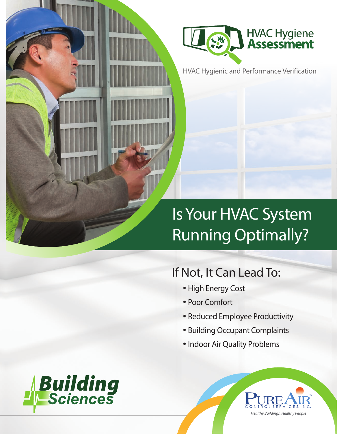

HVAC Hygienic and Performance Verification

# Is Your HVAC System Running Optimally?

# If Not, It Can Lead To:

- High Energy Cost
- Poor Comfort
- Reduced Employee Productivity
- Building Occupant Complaints
- Indoor Air Quality Problems



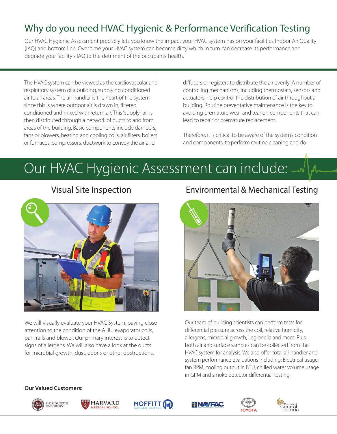## Why do you need HVAC Hygienic & Performance Verification Testing

Our HVAC Hygienic Assessment precisely lets you know the impact your HVAC system has on your facilities Indoor Air Quality (IAQ) and bottom line. Over time your HVAC system can become dirty which in turn can decrease its performance and degrade your facility's IAQ to the detriment of the occupants' health.

The HVAC system can be viewed as the cardiovascular and respiratory system of a building, supplying conditioned air to all areas. The air handler is the heart of the system since this is where outdoor air is drawn in, filtered, conditioned and mixed with return air. This "supply" air is then distributed through a network of ducts to and from areas of the building. Basic components include dampers, fans or blowers, heating and cooling coils, air filters, boilers or furnaces, compressors, ductwork to convey the air and

diffusers or registers to distribute the air evenly. A number of controlling mechanisms, including thermostats, sensors and actuators, help control the distribution of air throughout a building. Routine preventative maintenance is the key to avoiding premature wear and tear on components that can lead to repair or premature replacement.

Therefore, it is critical to be aware of the system's condition and components, to perform routine cleaning and do

# Our HVAC Hygienic Assessment can include:



We will visually evaluate your HVAC System, paying close attention to the condition of the AHU, evaporator coils, pan, rails and blower. Our primary interest is to detect signs of allergens. We will also have a look at the ducts for microbial growth, dust, debris or other obstructions.

### Environmental & Mechanical Testing



Our team of building scientists can perform tests for: differential pressure across the coil, relative humidity, allergens, microbial growth, Legionella and more. Plus both air and surface samples can be collected from the HVAC system for analysis. We also offer total air handler and system performance evaluations including: Electrical usage, fan RPM, cooling output in BTU, chilled water volume usage in GPM and smoke detector differential testing.

#### **Our Valued Customers:**











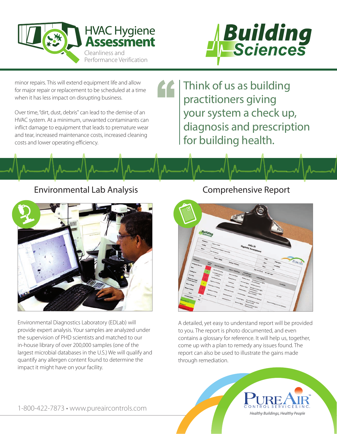



minor repairs. This will extend equipment life and allow for major repair or replacement to be scheduled at a time when it has less impact on disrupting business.

Over time, "dirt, dust, debris" can lead to the demise of an HVAC system. At a minimum, unwanted contaminants can inflict damage to equipment that leads to premature wear and tear, increased maintenance costs, increased cleaning costs and lower operating efficiency.

Think of us as building practitioners giving your system a check up, diagnosis and prescription for building health.

### Environmental Lab Analysis



Environmental Diagnostics Laboratory (EDLab) will provide expert analysis. Your samples are analyzed under the supervision of PHD scientists and matched to our in-house library of over 200,000 samples (one of the largest microbial databases in the U.S.) We will qualify and quantify any allergen content found to determine the impact it might have on your facility.

### Comprehensive Report



A detailed, yet easy to understand report will be provided to you. The report is photo documented, and even contains a glossary for reference. It will help us, together, come up with a plan to remedy any issues found. The report can also be used to illustrate the gains made through remediation.



1-800-422-7873 • www.pureaircontrols.com